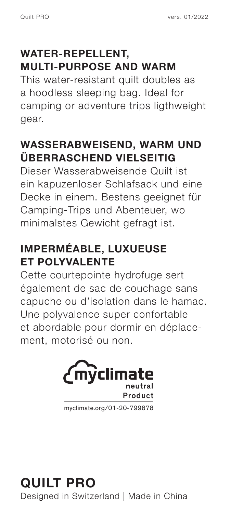### **WATER-REPELLENT, MULTI-PURPOSE AND WARM**

This water-resistant quilt doubles as a hoodless sleeping bag. Ideal for camping or adventure trips ligthweight gear.

### **WASSERABWEISEND, WARM UND ÜBERRASCHEND VIELSEITIG**

Dieser Wasserabweisende Quilt ist ein kapuzenloser Schlafsack und eine Decke in einem. Bestens geeignet für Camping-Trips und Abenteuer, wo minimalstes Gewicht gefragt ist.

### **IMPERMÉABLE, LUXUEUSE ET POLYVALENTE**

Cette courtepointe hydrofuge sert également de sac de couchage sans capuche ou d'isolation dans le hamac. Une polyvalence super confortable et abordable pour dormir en déplacement, motorisé ou non.



myclimate.org/01-20-799878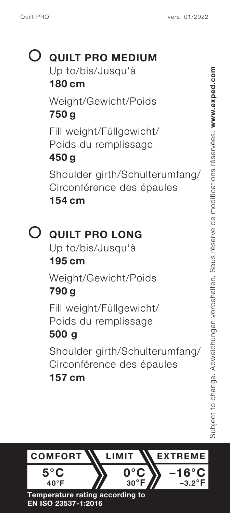# **QUILT PRO MEDIUM** Up to/bis/Jusqu'à **180 cm** Weight/Gewicht/Poids

**750 g** Fill weight/Füllgewicht/ Poids du remplissage

## **450 g**

Shoulder girth/Schulterumfang/ Circonférence des épaules **154 cm**

# **QUILT PRO LONG**

Up to/bis/Jusqu'à **195 cm**

Weight/Gewicht/Poids

# **790 g**

Fill weight/Füllgewicht/ Poids du remplissage

### **500 g**

Shoulder girth/Schulterumfang/ Circonférence des épaules

### **157 cm**

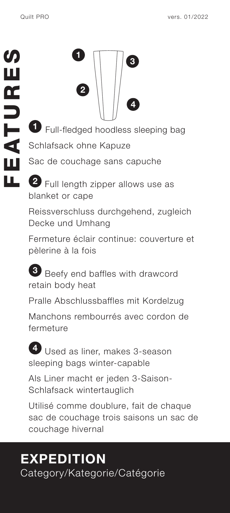

**1** Full-fledged hoodless sleeping bag Schlafsack ohne Kapuze

Sac de couchage sans capuche

**2** Full length zipper allows use as blanket or cape

Reissverschluss durchgehend, zugleich Decke und Umhang

Fermeture éclair continue: couverture et pèlerine à la fois

**3** Beefy end baffles with drawcord retain body heat

Pralle Abschlussbaffles mit Kordelzug

Manchons rembourrés avec cordon de fermeture

**4** Used as liner, makes 3-season sleeping bags winter-capable

Als Liner macht er jeden 3-Saison-Schlafsack wintertauglich

Utilisé comme doublure, fait de chaque sac de couchage trois saisons un sac de couchage hivernal

# **EXPEDITION** Category/Kategorie/Catégorie